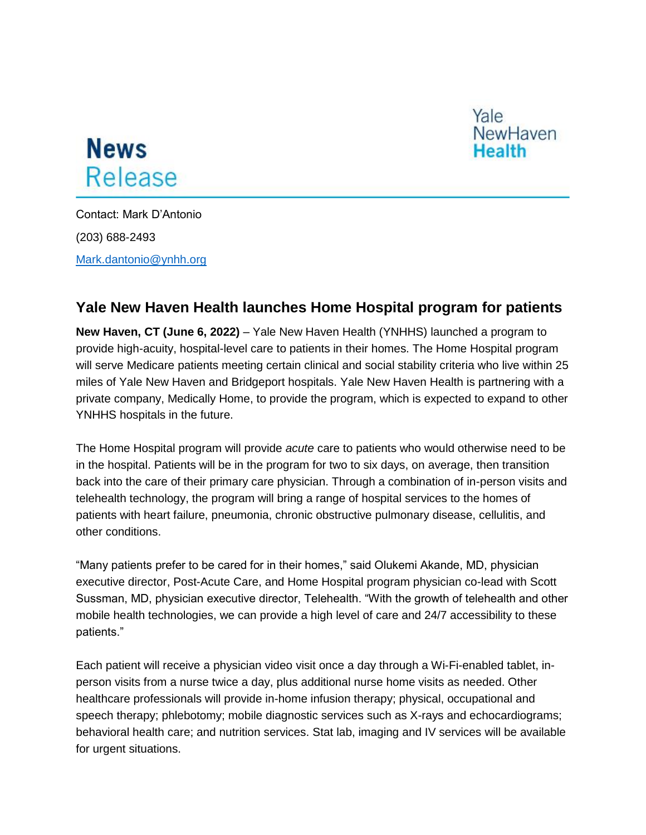

## **News** Release

Contact: Mark D'Antonio (203) 688-2493 [Mark.dantonio@ynhh.org](mailto:Mark.dantonio@ynhh.org)

## **Yale New Haven Health launches Home Hospital program for patients**

**New Haven, CT (June 6, 2022)** – Yale New Haven Health (YNHHS) launched a program to provide high-acuity, hospital-level care to patients in their homes. The Home Hospital program will serve Medicare patients meeting certain clinical and social stability criteria who live within 25 miles of Yale New Haven and Bridgeport hospitals. Yale New Haven Health is partnering with a private company, Medically Home, to provide the program, which is expected to expand to other YNHHS hospitals in the future.

The Home Hospital program will provide *acute* care to patients who would otherwise need to be in the hospital. Patients will be in the program for two to six days, on average, then transition back into the care of their primary care physician. Through a combination of in-person visits and telehealth technology, the program will bring a range of hospital services to the homes of patients with heart failure, pneumonia, chronic obstructive pulmonary disease, cellulitis, and other conditions.

"Many patients prefer to be cared for in their homes," said Olukemi Akande, MD, physician executive director, Post-Acute Care, and Home Hospital program physician co-lead with Scott Sussman, MD, physician executive director, Telehealth. "With the growth of telehealth and other mobile health technologies, we can provide a high level of care and 24/7 accessibility to these patients."

Each patient will receive a physician video visit once a day through a Wi-Fi-enabled tablet, inperson visits from a nurse twice a day, plus additional nurse home visits as needed. Other healthcare professionals will provide in-home infusion therapy; physical, occupational and speech therapy; phlebotomy; mobile diagnostic services such as X-rays and echocardiograms; behavioral health care; and nutrition services. Stat lab, imaging and IV services will be available for urgent situations.